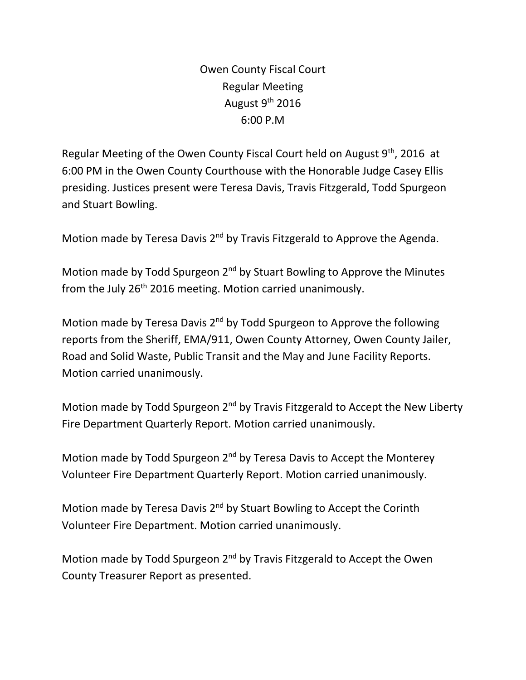Owen County Fiscal Court Regular Meeting August  $9<sup>th</sup>$  2016 6:00 P.M

Regular Meeting of the Owen County Fiscal Court held on August 9<sup>th</sup>, 2016 at 6:00 PM in the Owen County Courthouse with the Honorable Judge Casey Ellis presiding. Justices present were Teresa Davis, Travis Fitzgerald, Todd Spurgeon and Stuart Bowling.

Motion made by Teresa Davis 2<sup>nd</sup> by Travis Fitzgerald to Approve the Agenda.

Motion made by Todd Spurgeon  $2<sup>nd</sup>$  by Stuart Bowling to Approve the Minutes from the July 26<sup>th</sup> 2016 meeting. Motion carried unanimously.

Motion made by Teresa Davis 2<sup>nd</sup> by Todd Spurgeon to Approve the following reports from the Sheriff, EMA/911, Owen County Attorney, Owen County Jailer, Road and Solid Waste, Public Transit and the May and June Facility Reports. Motion carried unanimously.

Motion made by Todd Spurgeon  $2^{nd}$  by Travis Fitzgerald to Accept the New Liberty Fire Department Quarterly Report. Motion carried unanimously.

Motion made by Todd Spurgeon 2<sup>nd</sup> by Teresa Davis to Accept the Monterey Volunteer Fire Department Quarterly Report. Motion carried unanimously.

Motion made by Teresa Davis 2<sup>nd</sup> by Stuart Bowling to Accept the Corinth Volunteer Fire Department. Motion carried unanimously.

Motion made by Todd Spurgeon 2<sup>nd</sup> by Travis Fitzgerald to Accept the Owen County Treasurer Report as presented.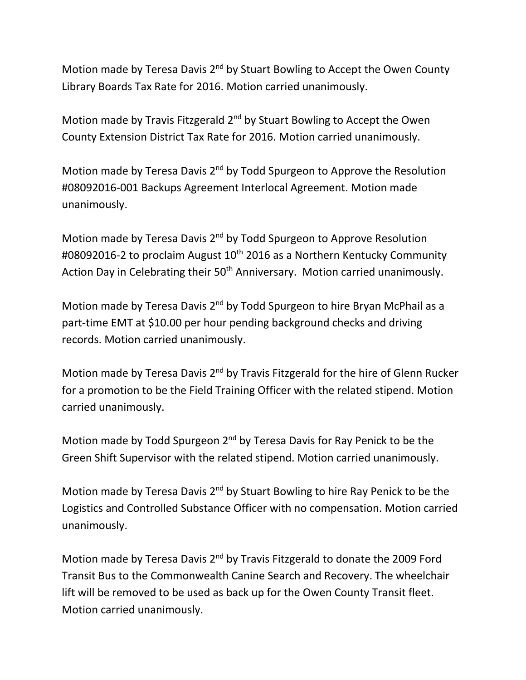Motion made by Teresa Davis 2<sup>nd</sup> by Stuart Bowling to Accept the Owen County Library Boards Tax Rate for 2016. Motion carried unanimously.

Motion made by Travis Fitzgerald 2<sup>nd</sup> by Stuart Bowling to Accept the Owen County Extension District Tax Rate for 2016. Motion carried unanimously.

Motion made by Teresa Davis 2<sup>nd</sup> by Todd Spurgeon to Approve the Resolution #08092016-001 Backups Agreement Interlocal Agreement. Motion made unanimously.

Motion made by Teresa Davis 2<sup>nd</sup> by Todd Spurgeon to Approve Resolution #08092016-2 to proclaim August 10<sup>th</sup> 2016 as a Northern Kentucky Community Action Day in Celebrating their 50<sup>th</sup> Anniversary. Motion carried unanimously.

Motion made by Teresa Davis 2<sup>nd</sup> by Todd Spurgeon to hire Bryan McPhail as a part-time EMT at \$10.00 per hour pending background checks and driving records. Motion carried unanimously.

Motion made by Teresa Davis 2<sup>nd</sup> by Travis Fitzgerald for the hire of Glenn Rucker for a promotion to be the Field Training Officer with the related stipend. Motion carried unanimously.

Motion made by Todd Spurgeon 2<sup>nd</sup> by Teresa Davis for Ray Penick to be the Green Shift Supervisor with the related stipend. Motion carried unanimously.

Motion made by Teresa Davis 2<sup>nd</sup> by Stuart Bowling to hire Ray Penick to be the Logistics and Controlled Substance Officer with no compensation. Motion carried unanimously.

Motion made by Teresa Davis 2<sup>nd</sup> by Travis Fitzgerald to donate the 2009 Ford Transit Bus to the Commonwealth Canine Search and Recovery. The wheelchair lift will be removed to be used as back up for the Owen County Transit fleet. Motion carried unanimously.